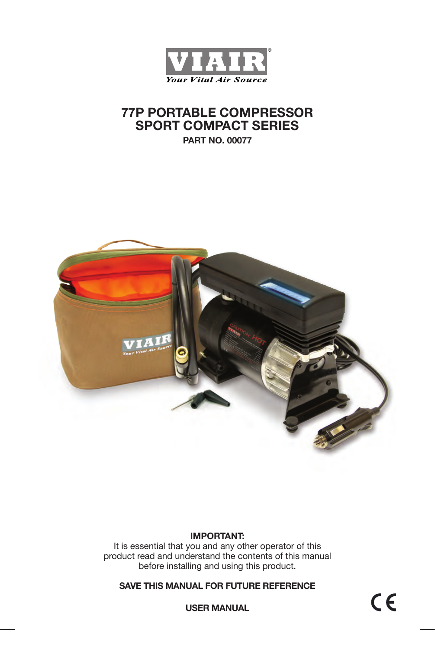

# **77P PORTABLE COMPRESSOR SPORT COMPACT SERIES**

**PART NO. 00077**



### **IMPORTANT:**

It is essential that you and any other operator of this product read and understand the contents of this manual before installing and using this product.

**SAVE THIS MANUAL FOR FUTURE REFERENCE**

 $C \in$ 

**USER MANUAL**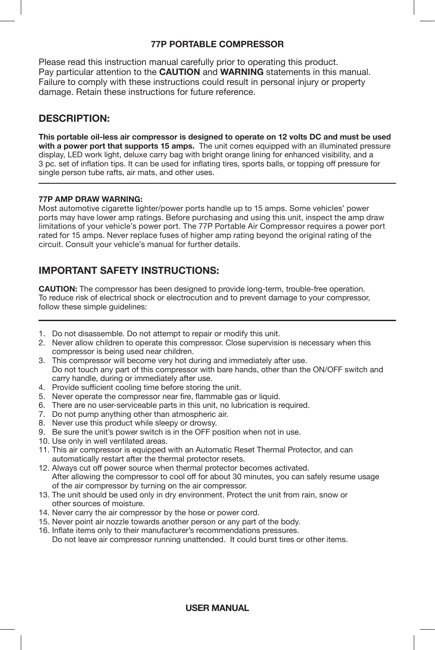### **77P PORTABLE COMPRESSOR**

Please read this instruction manual carefully prior to operating this product. Pay particular attention to the **CAUTION** and **WARNING** statements in this manual. Failure to comply with these instructions could result in personal injury or property damage. Retain these instructions for future reference.

### **DESCRIPTION:**

**This portable oil-less air compressor is designed to operate on 12 volts DC and must be used with a power port that supports 15 amps.** The unit comes equipped with an illuminated pressure display, LED work light, deluxe carry bag with bright orange lining for enhanced visibility, and a 3 pc. set of inflation tips. It can be used for inflating tires, sports balls, or topping off pressure for single person tube rafts, air mats, and other uses.

#### **77P AMP DRAW WARNING:**

Most automotive cigarette lighter/power ports handle up to 15 amps. Some vehicles' power ports may have lower amp ratings. Before purchasing and using this unit, inspect the amp draw limitations of your vehicle's power port. The 77P Portable Air Compressor requires a power port rated for 15 amps. Never replace fuses of higher amp rating beyond the original rating of the circuit. Consult your vehicle's manual for further details.

## **IMPORTANT SAFETY INSTRUCTIONS:**

**CAUTION:** The compressor has been designed to provide long-term, trouble-free operation. To reduce risk of electrical shock or electrocution and to prevent damage to your compressor, follow these simple quidelines:

- 1. Do not disassemble. Do not attempt to repair or modify this unit.
- 2. Never allow children to operate this compressor. Close supervision is necessary when this compressor is being used near children.
- 3. This compressor will become very hot during and immediately after use. Do not touch any part of this compressor with bare hands, other than the ON/OFF switch and carry handle, during or immediately after use.
- 4. Provide sufficient cooling time before storing the unit.
- 5. Never operate the compressor near fire, flammable gas or liquid.
- 6. There are no user-serviceable parts in this unit, no lubrication is required.
- 7. Do not pump anything other than atmospheric air.
- 8. Never use this product while sleepy or drowsy.
- 9. Be sure the unit's power switch is in the OFF position when not in use.
- 10. Use only in well ventilated areas.
- 11. This air compressor is equipped with an Automatic Reset Thermal Protector, and can automatically restart after the thermal protector resets.
- 12. Always cut off power source when thermal protector becomes activated. After allowing the compressor to cool off for about 30 minutes, you can safely resume usage of the air compressor by turning on the air compressor.
- 13. The unit should be used only in dry environment. Protect the unit from rain, snow or other sources of moisture.
- 14. Never carry the air compressor by the hose or power cord.
- 15. Never point air nozzle towards another person or any part of the body.
- 16. Inflate items only to their manufacturer's recommendations pressures. Do not leave air compressor running unattended. It could burst tires or other items.

### **USER MANUAL**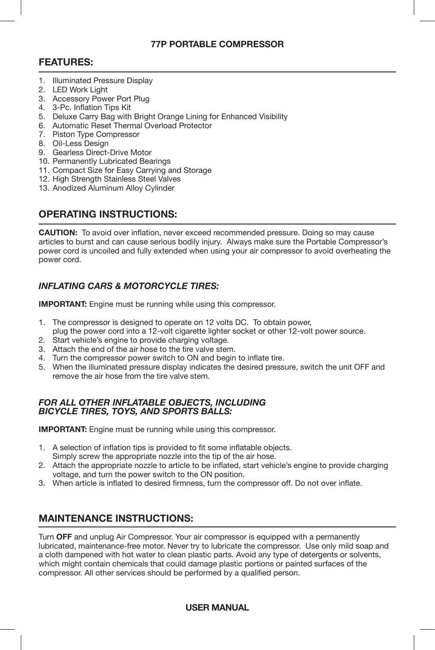#### **77P PORTABLE COMPRESSOR**

### **FEATURES:**

- 1. Illuminated Pressure Display
- 2. LED Work Light
- 3. Accessory Power Port Plug
- 4. 3-Pc. Inflation Tips Kit
- 5. Deluxe Carry Bag with Bright Orange Lining for Enhanced Visibility
- 6. Automatic Reset Thermal Overload Protector
- 7. Piston Type Compressor
- 8. Oil-Less Design
- 9. Gearless Direct-Drive Motor
- 10. Permanently Lubricated Bearings
- 11. Compact Size for Easy Carrying and Storage
- 12. High Strength Stainless Steel Valves
- 13. Anodized Aluminum Alloy Cylinder

### **OPERATING INSTRUCTIONS:**

**CAUTION:** To avoid over inflation, never exceed recommended pressure. Doing so may cause articles to burst and can cause serious bodily injury. Always make sure the Portable Compressor's power cord is uncoiled and fully extended when using your air compressor to avoid overheating the power cord.

### *INFLATING CARS & MOTORCYCLE TIRES:*

**IMPORTANT:** Engine must be running while using this compressor.

- 1. The compressor is designed to operate on 12 volts DC. To obtain power, plug the power cord into a 12-volt cigarette lighter socket or other 12-volt power source.
- 2. Start vehicle's engine to provide charging voltage.
- 3. Attach the end of the air hose to the tire valve stem.
- 4. Turn the compressor power switch to ON and begin to inflate tire.
- 5. When the illuminated pressure display indicates the desired pressure, switch the unit OFF and remove the air hose from the tire valve stem.

#### *FOR ALL OTHER INFLATABLE OBJECTS, INCLUDING BICYCLE TIRES, TOYS, AND SPORTS BALLS:*

**IMPORTANT:** Engine must be running while using this compressor.

- 1. A selection of inflation tips is provided to fit some inflatable objects.
- Simply screw the appropriate nozzle into the tip of the air hose.
- 2. Attach the appropriate nozzle to article to be inflated, start vehicle's engine to provide charging voltage, and turn the power switch to the ON position.
- 3. When article is inflated to desired firmness, turn the compressor off. Do not over inflate.

### **MAINTENANCE INSTRUCTIONS:**

Turn **OFF** and unplug Air Compressor. Your air compressor is equipped with a permanently lubricated, maintenance-free motor. Never try to lubricate the compressor. Use only mild soap and a cloth dampened with hot water to clean plastic parts. Avoid any type of detergents or solvents, which might contain chemicals that could damage plastic portions or painted surfaces of the compressor. All other services should be performed by a qualified person.

### **USER MANUAL**